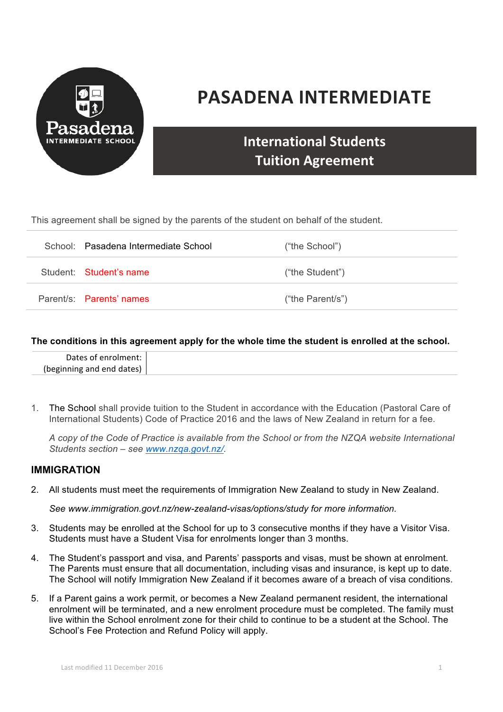

# **PASADENA INTERMEDIATE**

# **International Students Tuition Agreement**

This agreement shall be signed by the parents of the student on behalf of the student.

| School: Pasadena Intermediate School | ("the School")   |
|--------------------------------------|------------------|
| Student: Student's name              | ("the Student")  |
| Parent/s: Parents' names             | ("the Parent/s") |

#### **The conditions in this agreement apply for the whole time the student is enrolled at the school.**

1. The School shall provide tuition to the Student in accordance with the Education (Pastoral Care of International Students) Code of Practice 2016 and the laws of New Zealand in return for a fee.

*A copy of the Code of Practice is available from the School or from the NZQA website International Students section – see www.nzqa.govt.nz/.*

# **IMMIGRATION**

2. All students must meet the requirements of Immigration New Zealand to study in New Zealand.

*See www.immigration.govt.nz/new-zealand-visas/options/study for more information.*

- 3. Students may be enrolled at the School for up to 3 consecutive months if they have a Visitor Visa. Students must have a Student Visa for enrolments longer than 3 months.
- 4. The Student's passport and visa, and Parents' passports and visas, must be shown at enrolment. The Parents must ensure that all documentation, including visas and insurance, is kept up to date. The School will notify Immigration New Zealand if it becomes aware of a breach of visa conditions.
- 5. If a Parent gains a work permit, or becomes a New Zealand permanent resident, the international enrolment will be terminated, and a new enrolment procedure must be completed. The family must live within the School enrolment zone for their child to continue to be a student at the School. The School's Fee Protection and Refund Policy will apply.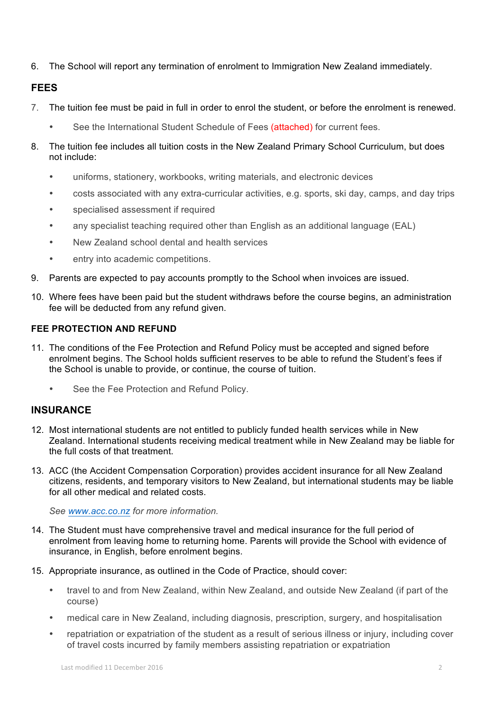6. The School will report any termination of enrolment to Immigration New Zealand immediately.

# **FEES**

- 7. The tuition fee must be paid in full in order to enrol the student, or before the enrolment is renewed.
	- See the International Student Schedule of Fees (attached) for current fees.
- 8. The tuition fee includes all tuition costs in the New Zealand Primary School Curriculum, but does not include:
	- uniforms, stationery, workbooks, writing materials, and electronic devices
	- costs associated with any extra-curricular activities, e.g. sports, ski day, camps, and day trips
	- specialised assessment if required
	- any specialist teaching required other than English as an additional language (EAL)
	- New Zealand school dental and health services
	- entry into academic competitions.
- 9. Parents are expected to pay accounts promptly to the School when invoices are issued.
- 10. Where fees have been paid but the student withdraws before the course begins, an administration fee will be deducted from any refund given.

# **FEE PROTECTION AND REFUND**

- 11. The conditions of the Fee Protection and Refund Policy must be accepted and signed before enrolment begins. The School holds sufficient reserves to be able to refund the Student's fees if the School is unable to provide, or continue, the course of tuition.
	- See the Fee Protection and Refund Policy.

# **INSURANCE**

- 12. Most international students are not entitled to publicly funded health services while in New Zealand. International students receiving medical treatment while in New Zealand may be liable for the full costs of that treatment.
- 13. ACC (the Accident Compensation Corporation) provides accident insurance for all New Zealand citizens, residents, and temporary visitors to New Zealand, but international students may be liable for all other medical and related costs.

*See www.acc.co.nz for more information.*

- 14. The Student must have comprehensive travel and medical insurance for the full period of enrolment from leaving home to returning home. Parents will provide the School with evidence of insurance, in English, before enrolment begins.
- 15. Appropriate insurance, as outlined in the Code of Practice, should cover:
	- travel to and from New Zealand, within New Zealand, and outside New Zealand (if part of the course)
	- medical care in New Zealand, including diagnosis, prescription, surgery, and hospitalisation
	- repatriation or expatriation of the student as a result of serious illness or injury, including cover of travel costs incurred by family members assisting repatriation or expatriation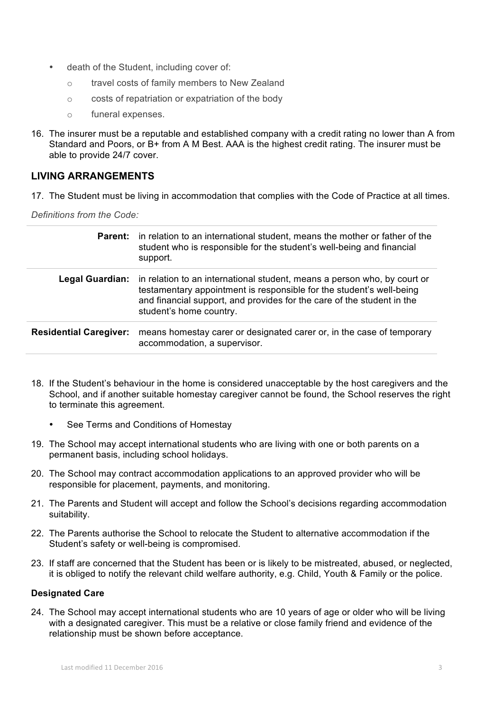- death of the Student, including cover of:
	- o travel costs of family members to New Zealand
	- o costs of repatriation or expatriation of the body
	- o funeral expenses.
- 16. The insurer must be a reputable and established company with a credit rating no lower than A from Standard and Poors, or B+ from A M Best. AAA is the highest credit rating. The insurer must be able to provide 24/7 cover.

# **LIVING ARRANGEMENTS**

17. The Student must be living in accommodation that complies with the Code of Practice at all times.

*Definitions from the Code:*

|                               | <b>Parent:</b> in relation to an international student, means the mother or father of the<br>student who is responsible for the student's well-being and financial<br>support.                                                                        |
|-------------------------------|-------------------------------------------------------------------------------------------------------------------------------------------------------------------------------------------------------------------------------------------------------|
| Legal Guardian:               | in relation to an international student, means a person who, by court or<br>testamentary appointment is responsible for the student's well-being<br>and financial support, and provides for the care of the student in the<br>student's home country. |
| <b>Residential Caregiver:</b> | means homestay carer or designated carer or, in the case of temporary<br>accommodation, a supervisor.                                                                                                                                                 |

- 18. If the Student's behaviour in the home is considered unacceptable by the host caregivers and the School, and if another suitable homestay caregiver cannot be found, the School reserves the right to terminate this agreement.
	- See Terms and Conditions of Homestay
- 19. The School may accept international students who are living with one or both parents on a permanent basis, including school holidays.
- 20. The School may contract accommodation applications to an approved provider who will be responsible for placement, payments, and monitoring.
- 21. The Parents and Student will accept and follow the School's decisions regarding accommodation suitability.
- 22. The Parents authorise the School to relocate the Student to alternative accommodation if the Student's safety or well-being is compromised.
- 23. If staff are concerned that the Student has been or is likely to be mistreated, abused, or neglected, it is obliged to notify the relevant child welfare authority, e.g. Child, Youth & Family or the police.

#### **Designated Care**

24. The School may accept international students who are 10 years of age or older who will be living with a designated caregiver. This must be a relative or close family friend and evidence of the relationship must be shown before acceptance.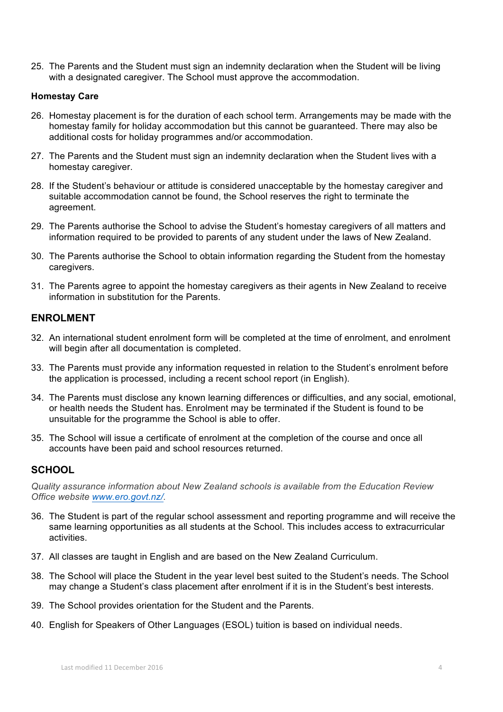25. The Parents and the Student must sign an indemnity declaration when the Student will be living with a designated caregiver. The School must approve the accommodation.

#### **Homestay Care**

- 26. Homestay placement is for the duration of each school term. Arrangements may be made with the homestay family for holiday accommodation but this cannot be guaranteed. There may also be additional costs for holiday programmes and/or accommodation.
- 27. The Parents and the Student must sign an indemnity declaration when the Student lives with a homestay caregiver.
- 28. If the Student's behaviour or attitude is considered unacceptable by the homestay caregiver and suitable accommodation cannot be found, the School reserves the right to terminate the agreement.
- 29. The Parents authorise the School to advise the Student's homestay caregivers of all matters and information required to be provided to parents of any student under the laws of New Zealand.
- 30. The Parents authorise the School to obtain information regarding the Student from the homestay caregivers.
- 31. The Parents agree to appoint the homestay caregivers as their agents in New Zealand to receive information in substitution for the Parents.

#### **ENROLMENT**

- 32. An international student enrolment form will be completed at the time of enrolment, and enrolment will begin after all documentation is completed.
- 33. The Parents must provide any information requested in relation to the Student's enrolment before the application is processed, including a recent school report (in English).
- 34. The Parents must disclose any known learning differences or difficulties, and any social, emotional, or health needs the Student has. Enrolment may be terminated if the Student is found to be unsuitable for the programme the School is able to offer.
- 35. The School will issue a certificate of enrolment at the completion of the course and once all accounts have been paid and school resources returned.

# **SCHOOL**

*Quality assurance information about New Zealand schools is available from the Education Review Office website www.ero.govt.nz/.*

- 36. The Student is part of the regular school assessment and reporting programme and will receive the same learning opportunities as all students at the School. This includes access to extracurricular activities.
- 37. All classes are taught in English and are based on the New Zealand Curriculum.
- 38. The School will place the Student in the year level best suited to the Student's needs. The School may change a Student's class placement after enrolment if it is in the Student's best interests.
- 39. The School provides orientation for the Student and the Parents.
- 40. English for Speakers of Other Languages (ESOL) tuition is based on individual needs.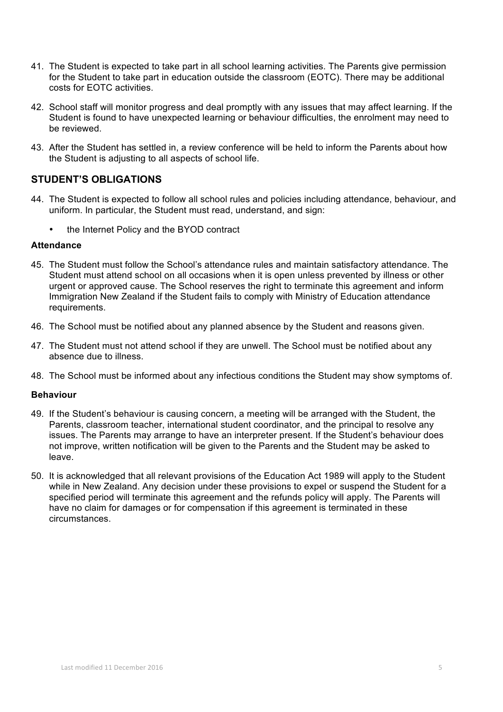- 41. The Student is expected to take part in all school learning activities. The Parents give permission for the Student to take part in education outside the classroom (EOTC). There may be additional costs for EOTC activities.
- 42. School staff will monitor progress and deal promptly with any issues that may affect learning. If the Student is found to have unexpected learning or behaviour difficulties, the enrolment may need to be reviewed.
- 43. After the Student has settled in, a review conference will be held to inform the Parents about how the Student is adjusting to all aspects of school life.

# **STUDENT'S OBLIGATIONS**

- 44. The Student is expected to follow all school rules and policies including attendance, behaviour, and uniform. In particular, the Student must read, understand, and sign:
	- the Internet Policy and the BYOD contract

#### **Attendance**

- 45. The Student must follow the School's attendance rules and maintain satisfactory attendance. The Student must attend school on all occasions when it is open unless prevented by illness or other urgent or approved cause. The School reserves the right to terminate this agreement and inform Immigration New Zealand if the Student fails to comply with Ministry of Education attendance requirements.
- 46. The School must be notified about any planned absence by the Student and reasons given.
- 47. The Student must not attend school if they are unwell. The School must be notified about any absence due to illness.
- 48. The School must be informed about any infectious conditions the Student may show symptoms of.

#### **Behaviour**

- 49. If the Student's behaviour is causing concern, a meeting will be arranged with the Student, the Parents, classroom teacher, international student coordinator, and the principal to resolve any issues. The Parents may arrange to have an interpreter present. If the Student's behaviour does not improve, written notification will be given to the Parents and the Student may be asked to leave.
- 50. It is acknowledged that all relevant provisions of the Education Act 1989 will apply to the Student while in New Zealand. Any decision under these provisions to expel or suspend the Student for a specified period will terminate this agreement and the refunds policy will apply. The Parents will have no claim for damages or for compensation if this agreement is terminated in these circumstances.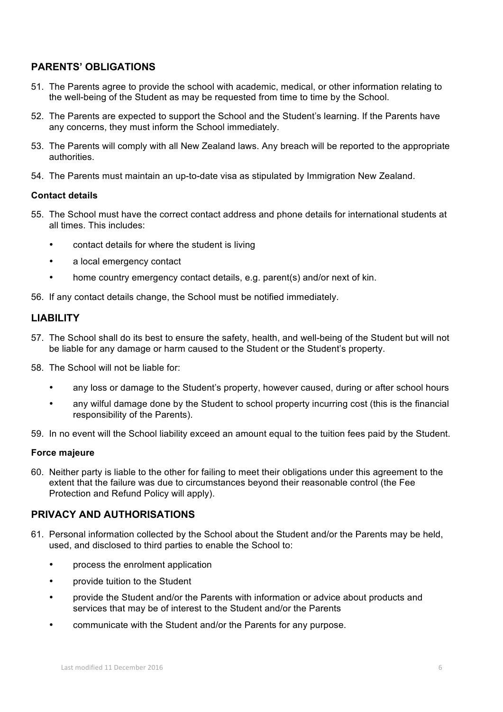# **PARENTS' OBLIGATIONS**

- 51. The Parents agree to provide the school with academic, medical, or other information relating to the well-being of the Student as may be requested from time to time by the School.
- 52. The Parents are expected to support the School and the Student's learning. If the Parents have any concerns, they must inform the School immediately.
- 53. The Parents will comply with all New Zealand laws. Any breach will be reported to the appropriate authorities.
- 54. The Parents must maintain an up-to-date visa as stipulated by Immigration New Zealand.

#### **Contact details**

- 55. The School must have the correct contact address and phone details for international students at all times. This includes:
	- contact details for where the student is living
	- a local emergency contact
	- home country emergency contact details, e.g. parent(s) and/or next of kin.

56. If any contact details change, the School must be notified immediately.

# **LIABILITY**

- 57. The School shall do its best to ensure the safety, health, and well-being of the Student but will not be liable for any damage or harm caused to the Student or the Student's property.
- 58. The School will not be liable for:
	- any loss or damage to the Student's property, however caused, during or after school hours
	- any wilful damage done by the Student to school property incurring cost (this is the financial responsibility of the Parents).
- 59. In no event will the School liability exceed an amount equal to the tuition fees paid by the Student.

#### **Force majeure**

60. Neither party is liable to the other for failing to meet their obligations under this agreement to the extent that the failure was due to circumstances beyond their reasonable control (the Fee Protection and Refund Policy will apply).

# **PRIVACY AND AUTHORISATIONS**

- 61. Personal information collected by the School about the Student and/or the Parents may be held, used, and disclosed to third parties to enable the School to:
	- process the enrolment application
	- provide tuition to the Student
	- provide the Student and/or the Parents with information or advice about products and services that may be of interest to the Student and/or the Parents
	- communicate with the Student and/or the Parents for any purpose.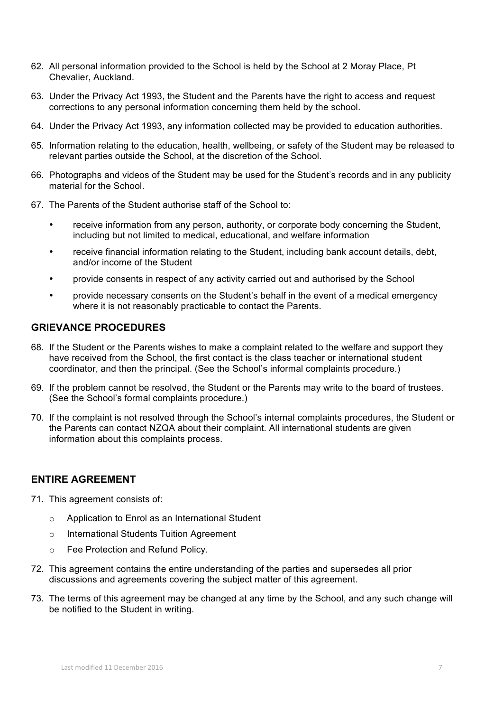- 62. All personal information provided to the School is held by the School at 2 Moray Place, Pt Chevalier, Auckland.
- 63. Under the Privacy Act 1993, the Student and the Parents have the right to access and request corrections to any personal information concerning them held by the school.
- 64. Under the Privacy Act 1993, any information collected may be provided to education authorities.
- 65. Information relating to the education, health, wellbeing, or safety of the Student may be released to relevant parties outside the School, at the discretion of the School.
- 66. Photographs and videos of the Student may be used for the Student's records and in any publicity material for the School.
- 67. The Parents of the Student authorise staff of the School to:
	- receive information from any person, authority, or corporate body concerning the Student, including but not limited to medical, educational, and welfare information
	- receive financial information relating to the Student, including bank account details, debt, and/or income of the Student
	- provide consents in respect of any activity carried out and authorised by the School
	- provide necessary consents on the Student's behalf in the event of a medical emergency where it is not reasonably practicable to contact the Parents.

# **GRIEVANCE PROCEDURES**

- 68. If the Student or the Parents wishes to make a complaint related to the welfare and support they have received from the School, the first contact is the class teacher or international student coordinator, and then the principal. (See the School's informal complaints procedure.)
- 69. If the problem cannot be resolved, the Student or the Parents may write to the board of trustees. (See the School's formal complaints procedure.)
- 70. If the complaint is not resolved through the School's internal complaints procedures, the Student or the Parents can contact NZQA about their complaint. All international students are given information about this complaints process.

# **ENTIRE AGREEMENT**

- 71. This agreement consists of:
	- o Application to Enrol as an International Student
	- o International Students Tuition Agreement
	- o Fee Protection and Refund Policy.
- 72. This agreement contains the entire understanding of the parties and supersedes all prior discussions and agreements covering the subject matter of this agreement.
- 73. The terms of this agreement may be changed at any time by the School, and any such change will be notified to the Student in writing.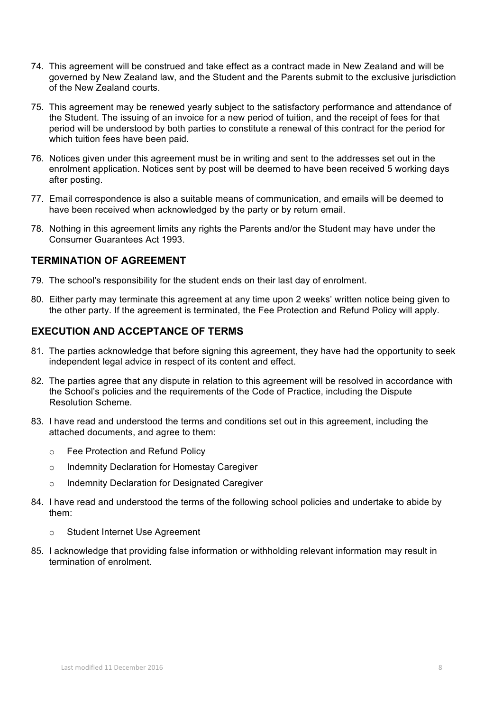- 74. This agreement will be construed and take effect as a contract made in New Zealand and will be governed by New Zealand law, and the Student and the Parents submit to the exclusive jurisdiction of the New Zealand courts.
- 75. This agreement may be renewed yearly subject to the satisfactory performance and attendance of the Student. The issuing of an invoice for a new period of tuition, and the receipt of fees for that period will be understood by both parties to constitute a renewal of this contract for the period for which tuition fees have been paid.
- 76. Notices given under this agreement must be in writing and sent to the addresses set out in the enrolment application. Notices sent by post will be deemed to have been received 5 working days after posting.
- 77. Email correspondence is also a suitable means of communication, and emails will be deemed to have been received when acknowledged by the party or by return email.
- 78. Nothing in this agreement limits any rights the Parents and/or the Student may have under the Consumer Guarantees Act 1993.

# **TERMINATION OF AGREEMENT**

- 79. The school's responsibility for the student ends on their last day of enrolment.
- 80. Either party may terminate this agreement at any time upon 2 weeks' written notice being given to the other party. If the agreement is terminated, the Fee Protection and Refund Policy will apply.

# **EXECUTION AND ACCEPTANCE OF TERMS**

- 81. The parties acknowledge that before signing this agreement, they have had the opportunity to seek independent legal advice in respect of its content and effect.
- 82. The parties agree that any dispute in relation to this agreement will be resolved in accordance with the School's policies and the requirements of the Code of Practice, including the Dispute Resolution Scheme.
- 83. I have read and understood the terms and conditions set out in this agreement, including the attached documents, and agree to them:
	- o Fee Protection and Refund Policy
	- o Indemnity Declaration for Homestay Caregiver
	- o Indemnity Declaration for Designated Caregiver
- 84. I have read and understood the terms of the following school policies and undertake to abide by them:
	- o Student Internet Use Agreement
- 85. I acknowledge that providing false information or withholding relevant information may result in termination of enrolment.